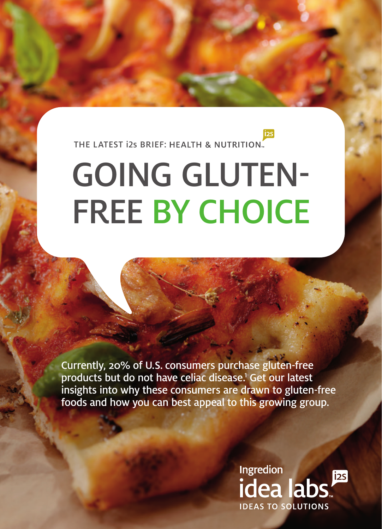THE LATEST i2s BRIEF: HEALTH & NUTRITION.

# GOING GLUTEN-FREE BY CHOICE

Currently, 20% of U.S. consumers purchase gluten-free products but do not have celiac disease.<sup>1</sup> Get our latest insights into why these consumers are drawn to gluten-free foods and how you can best appeal to this growing group.

> Ingredion  $[$ i2S idea labs. **IDEAS TO SOLUTIONS**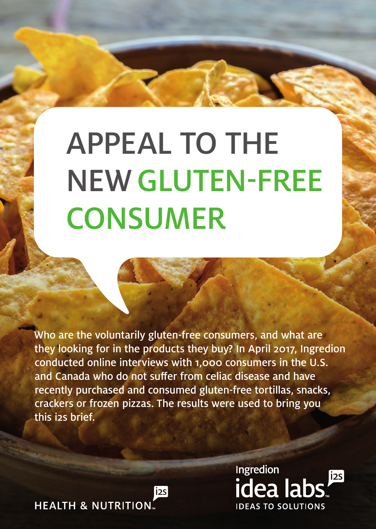## APPEAL TO THE NEW GLUTEN-FREE **CONSUMER**

Who are the voluntarily gluten-free consumers, and what are they looking for in the products they buy? In April 2017, Ingredion conducted online interviews with 1,000 consumers in the U.S. and Canada who do not suffer from celiac disease and have recently purchased and consumed gluten-free tortillas, snacks, crackers or frozen pizzas. The results were used to bring you this i2s brief.

 $i2s$ 

**HEALTH & NUTRITION.** 

**Ingredion**  $[$ i2S idea labs **IDEAS TO SOLUTIONS**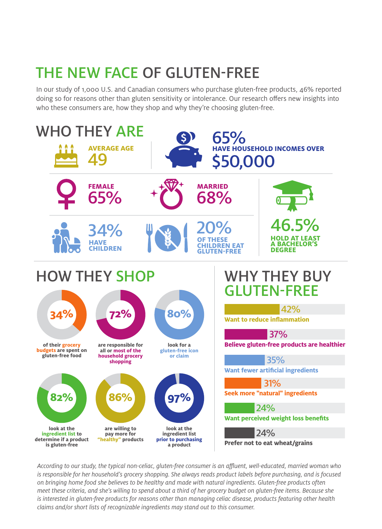## THE NEW FACE OF GLUTEN-FREE

In our study of 1,000 U.S. and Canadian consumers who purchase gluten-free products, 46% reported doing so for reasons other than gluten sensitivity or intolerance. Our research offers new insights into who these consumers are, how they shop and why they're choosing gluten-free.



*According to our study, the typical non-celiac, gluten-free consumer is an affluent, well-educated, married woman who*  is responsible for her household's grocery shopping. She always reads product labels before purchasing, and is focused *on bringing home food she believes to be healthy and made with natural ingredients. Gluten-free products often meet these criteria, and she's willing to spend about a third of her grocery budget on gluten-free items. Because she is interested in gluten-free products for reasons other than managing celiac disease, products featuring other health claims and/or short lists of recognizable ingredients may stand out to this consumer.*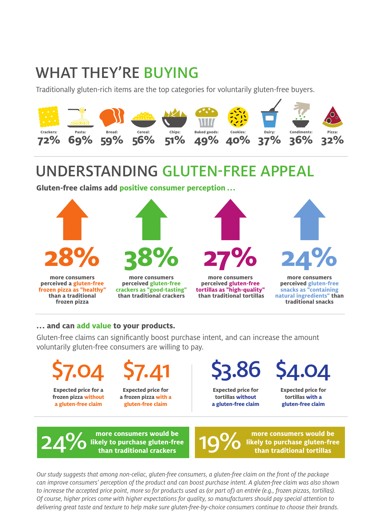## WHAT THEY'RE BUYING

Traditionally gluten-rich items are the top categories for voluntarily gluten-free buyers.



## UNDERSTANDING GLUTEN-FREE APPEAL

**Gluten-free claims add positive consumer perception ...**



#### **... and can add value to your products.**

Gluten-free claims can significantly boost purchase intent, and can increase the amount voluntarily gluten-free consumers are willing to pay.



\$7.41 **Expected price for**

**a frozen pizza with a gluten-free claim**

\$3.86

**Expected price for tortillas without a gluten-free claim** \$4.04

**Expected price for tortillas with a gluten-free claim** 

**more consumers would be likely to purchase gluten-free than traditional crackers**  $24\%$  likely to purchase gluten-free 19%

**more consumers would be likely to purchase gluten-free than traditional tortillas** 

*Our study suggests that among non-celiac, gluten-free consumers, a gluten-free claim on the front of the package can improve consumers' perception of the product and can boost purchase intent. A gluten-free claim was also shown to increase the accepted price point, more so for products used as (or part of) an entrée (e.g., frozen pizzas, tortillas). Of course, higher prices come with higher expectations for quality, so manufacturers should pay special attention to delivering great taste and texture to help make sure gluten-free-by-choice consumers continue to choose their brands.*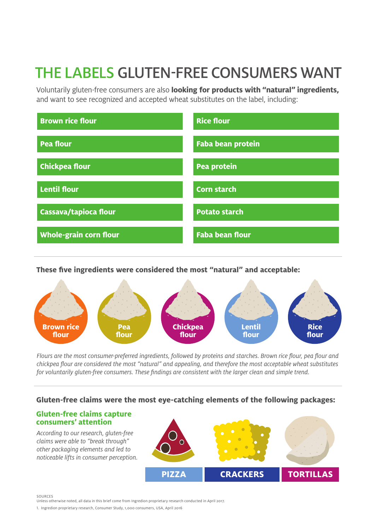## THE LABELS GLUTEN-FREE CONSUMERS WANT

Voluntarily gluten-free consumers are also **looking for products with "natural" ingredients,** and want to see recognized and accepted wheat substitutes on the label, including:



**These five ingredients were considered the most "natural" and acceptable:**



*Flours are the most consumer-preferred ingredients, followed by proteins and starches. Brown rice flour, pea flour and chickpea flour are considered the most "natural" and appealing, and therefore the most acceptable wheat substitutes for voluntarily gluten-free consumers. These findings are consistent with the larger clean and simple trend.* 

#### **Gluten-free claims were the most eye-catching elements of the following packages:**

#### **Gluten-free claims capture consumers' attention**

*According to our research, gluten-free claims were able to "break through" other packaging elements and led to noticeable lifts in consumer perception.* 



SOURCES

Unless otherwise noted, all data in this brief come from Ingredion proprietary research conducted in April 2017.

<sup>1.</sup> Ingredion proprietary research, Consumer Study, 1,000 consumers, USA, April 2016